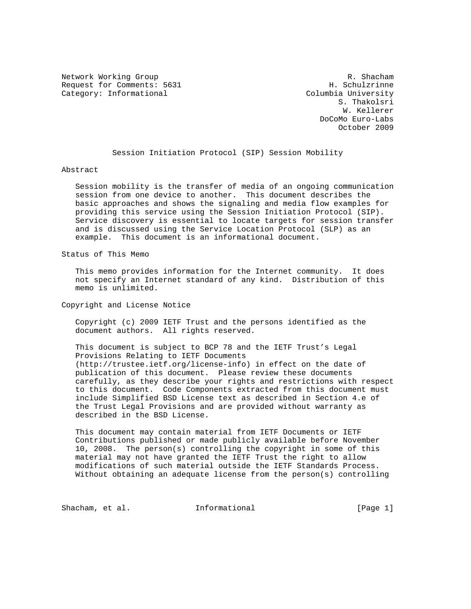Network Working Group<br>R. Shacham Request for Comments: 5631 (1998) R. Schulzrinne Request for Comments: 5631 Category: Informational Columbia University

 S. Thakolsri W. Kellerer DoCoMo Euro-Labs October 2009

Session Initiation Protocol (SIP) Session Mobility

Abstract

 Session mobility is the transfer of media of an ongoing communication session from one device to another. This document describes the basic approaches and shows the signaling and media flow examples for providing this service using the Session Initiation Protocol (SIP). Service discovery is essential to locate targets for session transfer and is discussed using the Service Location Protocol (SLP) as an example. This document is an informational document.

Status of This Memo

 This memo provides information for the Internet community. It does not specify an Internet standard of any kind. Distribution of this memo is unlimited.

Copyright and License Notice

 Copyright (c) 2009 IETF Trust and the persons identified as the document authors. All rights reserved.

 This document is subject to BCP 78 and the IETF Trust's Legal Provisions Relating to IETF Documents (http://trustee.ietf.org/license-info) in effect on the date of publication of this document. Please review these documents carefully, as they describe your rights and restrictions with respect to this document. Code Components extracted from this document must include Simplified BSD License text as described in Section 4.e of the Trust Legal Provisions and are provided without warranty as described in the BSD License.

 This document may contain material from IETF Documents or IETF Contributions published or made publicly available before November 10, 2008. The person(s) controlling the copyright in some of this material may not have granted the IETF Trust the right to allow modifications of such material outside the IETF Standards Process. Without obtaining an adequate license from the person(s) controlling

Shacham, et al. **Informational** [Page 1]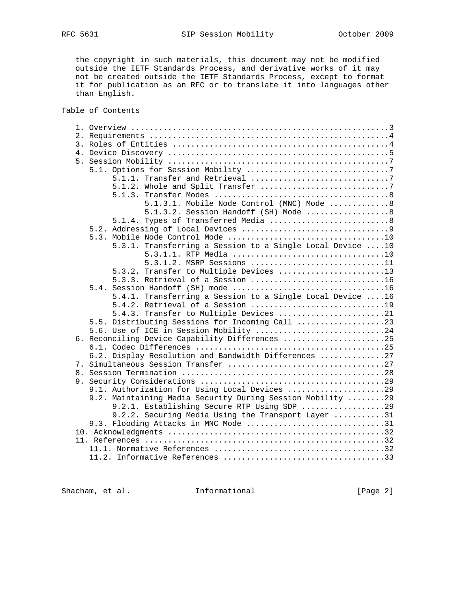the copyright in such materials, this document may not be modified outside the IETF Standards Process, and derivative works of it may not be created outside the IETF Standards Process, except to format it for publication as an RFC or to translate it into languages other than English.

Table of Contents

| 5.1.3.1. Mobile Node Control (MNC) Mode 8                  |  |  |  |  |
|------------------------------------------------------------|--|--|--|--|
| 5.1.3.2. Session Handoff (SH) Mode 8                       |  |  |  |  |
| 5.1.4. Types of Transferred Media 8                        |  |  |  |  |
|                                                            |  |  |  |  |
|                                                            |  |  |  |  |
| 5.3.1. Transferring a Session to a Single Local Device 10  |  |  |  |  |
| 5.3.1.1. RTP Media 10                                      |  |  |  |  |
| 5.3.1.2. MSRP Sessions 11                                  |  |  |  |  |
| 5.3.2. Transfer to Multiple Devices 13                     |  |  |  |  |
| 5.3.3. Retrieval of a Session 16                           |  |  |  |  |
|                                                            |  |  |  |  |
|                                                            |  |  |  |  |
| 5.4.1. Transferring a Session to a Single Local Device 16  |  |  |  |  |
| 5.4.2. Retrieval of a Session 19                           |  |  |  |  |
| 5.4.3. Transfer to Multiple Devices 21                     |  |  |  |  |
| 5.5. Distributing Sessions for Incoming Call 23            |  |  |  |  |
| 5.6. Use of ICE in Session Mobility 24                     |  |  |  |  |
| 6. Reconciling Device Capability Differences 25            |  |  |  |  |
|                                                            |  |  |  |  |
| 6.2. Display Resolution and Bandwidth Differences 27       |  |  |  |  |
|                                                            |  |  |  |  |
|                                                            |  |  |  |  |
|                                                            |  |  |  |  |
| 9.1. Authorization for Using Local Devices 29              |  |  |  |  |
| 9.2. Maintaining Media Security During Session Mobility 29 |  |  |  |  |
| 9.2.1. Establishing Secure RTP Using SDP 29                |  |  |  |  |
| 9.2.2. Securing Media Using the Transport Layer 31         |  |  |  |  |
| 9.3. Flooding Attacks in MNC Mode 31                       |  |  |  |  |
|                                                            |  |  |  |  |
|                                                            |  |  |  |  |
|                                                            |  |  |  |  |
|                                                            |  |  |  |  |

Shacham, et al. 1nformational [Page 2]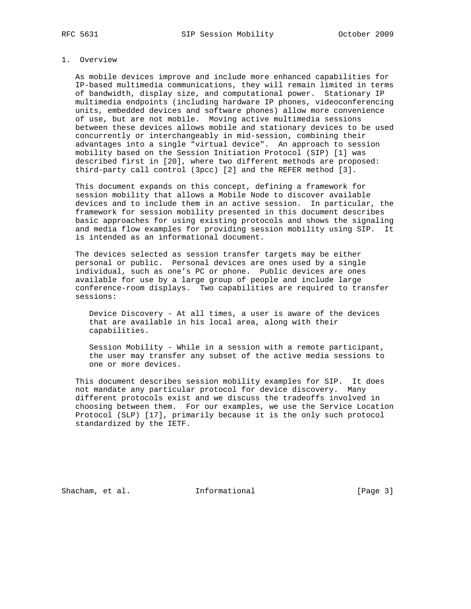## 1. Overview

 As mobile devices improve and include more enhanced capabilities for IP-based multimedia communications, they will remain limited in terms of bandwidth, display size, and computational power. Stationary IP multimedia endpoints (including hardware IP phones, videoconferencing units, embedded devices and software phones) allow more convenience of use, but are not mobile. Moving active multimedia sessions between these devices allows mobile and stationary devices to be used concurrently or interchangeably in mid-session, combining their advantages into a single "virtual device". An approach to session mobility based on the Session Initiation Protocol (SIP) [1] was described first in [20], where two different methods are proposed: third-party call control (3pcc) [2] and the REFER method [3].

 This document expands on this concept, defining a framework for session mobility that allows a Mobile Node to discover available devices and to include them in an active session. In particular, the framework for session mobility presented in this document describes basic approaches for using existing protocols and shows the signaling and media flow examples for providing session mobility using SIP. It is intended as an informational document.

 The devices selected as session transfer targets may be either personal or public. Personal devices are ones used by a single individual, such as one's PC or phone. Public devices are ones available for use by a large group of people and include large conference-room displays. Two capabilities are required to transfer sessions:

 Device Discovery - At all times, a user is aware of the devices that are available in his local area, along with their capabilities.

 Session Mobility - While in a session with a remote participant, the user may transfer any subset of the active media sessions to one or more devices.

 This document describes session mobility examples for SIP. It does not mandate any particular protocol for device discovery. Many different protocols exist and we discuss the tradeoffs involved in choosing between them. For our examples, we use the Service Location Protocol (SLP) [17], primarily because it is the only such protocol standardized by the IETF.

Shacham, et al. **Informational** [Page 3]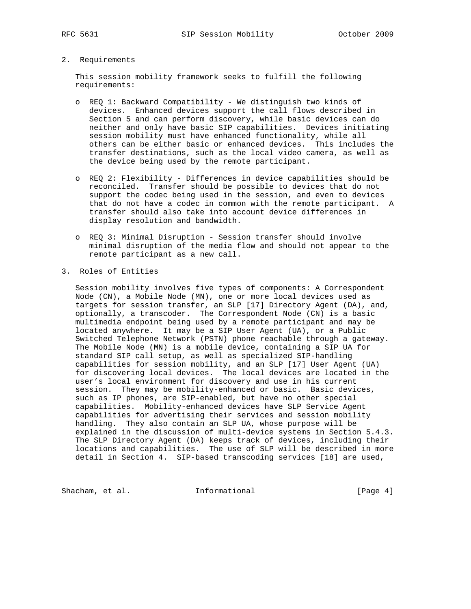# 2. Requirements

 This session mobility framework seeks to fulfill the following requirements:

- o REQ 1: Backward Compatibility We distinguish two kinds of devices. Enhanced devices support the call flows described in Section 5 and can perform discovery, while basic devices can do neither and only have basic SIP capabilities. Devices initiating session mobility must have enhanced functionality, while all others can be either basic or enhanced devices. This includes the transfer destinations, such as the local video camera, as well as the device being used by the remote participant.
- o REQ 2: Flexibility Differences in device capabilities should be reconciled. Transfer should be possible to devices that do not support the codec being used in the session, and even to devices that do not have a codec in common with the remote participant. A transfer should also take into account device differences in display resolution and bandwidth.
- o REQ 3: Minimal Disruption Session transfer should involve minimal disruption of the media flow and should not appear to the remote participant as a new call.
- 3. Roles of Entities

 Session mobility involves five types of components: A Correspondent Node (CN), a Mobile Node (MN), one or more local devices used as targets for session transfer, an SLP [17] Directory Agent (DA), and, optionally, a transcoder. The Correspondent Node (CN) is a basic multimedia endpoint being used by a remote participant and may be located anywhere. It may be a SIP User Agent (UA), or a Public Switched Telephone Network (PSTN) phone reachable through a gateway. The Mobile Node (MN) is a mobile device, containing a SIP UA for standard SIP call setup, as well as specialized SIP-handling capabilities for session mobility, and an SLP [17] User Agent (UA) for discovering local devices. The local devices are located in the user's local environment for discovery and use in his current session. They may be mobility-enhanced or basic. Basic devices, such as IP phones, are SIP-enabled, but have no other special capabilities. Mobility-enhanced devices have SLP Service Agent capabilities for advertising their services and session mobility handling. They also contain an SLP UA, whose purpose will be explained in the discussion of multi-device systems in Section 5.4.3. The SLP Directory Agent (DA) keeps track of devices, including their locations and capabilities. The use of SLP will be described in more detail in Section 4. SIP-based transcoding services [18] are used,

Shacham, et al. 1nformational 1999 [Page 4]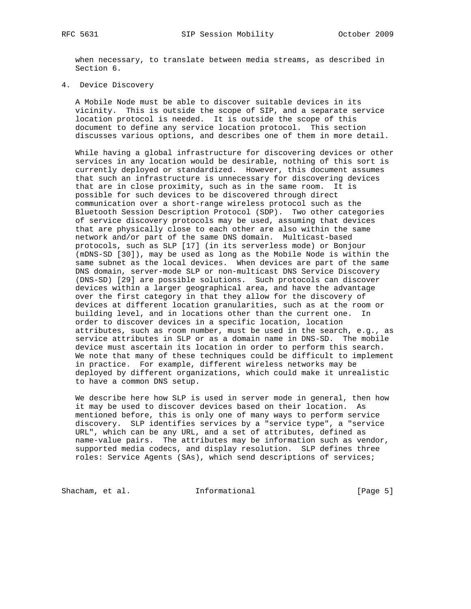when necessary, to translate between media streams, as described in Section 6.

4. Device Discovery

 A Mobile Node must be able to discover suitable devices in its vicinity. This is outside the scope of SIP, and a separate service location protocol is needed. It is outside the scope of this document to define any service location protocol. This section discusses various options, and describes one of them in more detail.

 While having a global infrastructure for discovering devices or other services in any location would be desirable, nothing of this sort is currently deployed or standardized. However, this document assumes that such an infrastructure is unnecessary for discovering devices that are in close proximity, such as in the same room. It is possible for such devices to be discovered through direct communication over a short-range wireless protocol such as the Bluetooth Session Description Protocol (SDP). Two other categories of service discovery protocols may be used, assuming that devices that are physically close to each other are also within the same network and/or part of the same DNS domain. Multicast-based protocols, such as SLP [17] (in its serverless mode) or Bonjour (mDNS-SD [30]), may be used as long as the Mobile Node is within the same subnet as the local devices. When devices are part of the same DNS domain, server-mode SLP or non-multicast DNS Service Discovery (DNS-SD) [29] are possible solutions. Such protocols can discover devices within a larger geographical area, and have the advantage over the first category in that they allow for the discovery of devices at different location granularities, such as at the room or building level, and in locations other than the current one. In order to discover devices in a specific location, location attributes, such as room number, must be used in the search, e.g., as service attributes in SLP or as a domain name in DNS-SD. The mobile device must ascertain its location in order to perform this search. We note that many of these techniques could be difficult to implement in practice. For example, different wireless networks may be deployed by different organizations, which could make it unrealistic to have a common DNS setup.

 We describe here how SLP is used in server mode in general, then how it may be used to discover devices based on their location. As mentioned before, this is only one of many ways to perform service discovery. SLP identifies services by a "service type", a "service URL", which can be any URL, and a set of attributes, defined as name-value pairs. The attributes may be information such as vendor, supported media codecs, and display resolution. SLP defines three roles: Service Agents (SAs), which send descriptions of services;

Shacham, et al. 1nformational 1999 [Page 5]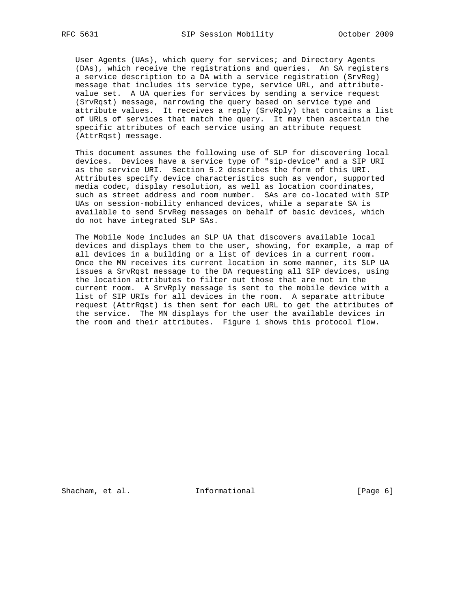User Agents (UAs), which query for services; and Directory Agents (DAs), which receive the registrations and queries. An SA registers a service description to a DA with a service registration (SrvReg) message that includes its service type, service URL, and attribute value set. A UA queries for services by sending a service request (SrvRqst) message, narrowing the query based on service type and attribute values. It receives a reply (SrvRply) that contains a list of URLs of services that match the query. It may then ascertain the specific attributes of each service using an attribute request (AttrRqst) message.

 This document assumes the following use of SLP for discovering local devices. Devices have a service type of "sip-device" and a SIP URI as the service URI. Section 5.2 describes the form of this URI. Attributes specify device characteristics such as vendor, supported media codec, display resolution, as well as location coordinates, such as street address and room number. SAs are co-located with SIP UAs on session-mobility enhanced devices, while a separate SA is available to send SrvReg messages on behalf of basic devices, which do not have integrated SLP SAs.

 The Mobile Node includes an SLP UA that discovers available local devices and displays them to the user, showing, for example, a map of all devices in a building or a list of devices in a current room. Once the MN receives its current location in some manner, its SLP UA issues a SrvRqst message to the DA requesting all SIP devices, using the location attributes to filter out those that are not in the current room. A SrvRply message is sent to the mobile device with a list of SIP URIs for all devices in the room. A separate attribute request (AttrRqst) is then sent for each URL to get the attributes of the service. The MN displays for the user the available devices in the room and their attributes. Figure 1 shows this protocol flow.

Shacham, et al. **Informational** [Page 6]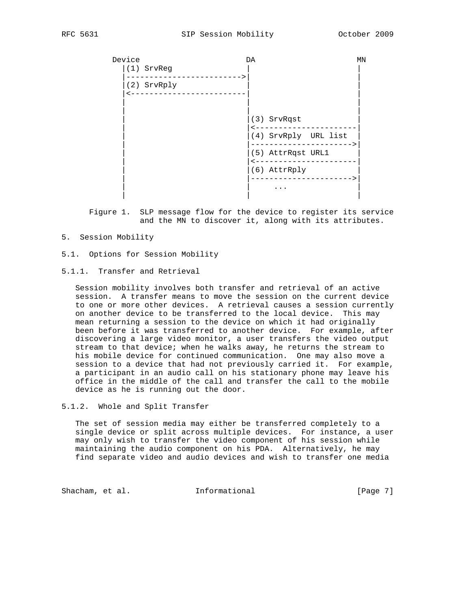| Device | (1) SrvReg                | DA                   | MN |
|--------|---------------------------|----------------------|----|
|        | (2) SrvRply<br><u> - </u> |                      |    |
|        |                           | (3) SrvRqst          |    |
|        |                           | (4) SrvRply URL list |    |
|        |                           | (5) AttrRqst URL1    |    |
|        |                           | (6) AttrRply         |    |
|        |                           | .                    |    |

 Figure 1. SLP message flow for the device to register its service and the MN to discover it, along with its attributes.

- 5. Session Mobility
- 5.1. Options for Session Mobility
- 5.1.1. Transfer and Retrieval

 Session mobility involves both transfer and retrieval of an active session. A transfer means to move the session on the current device to one or more other devices. A retrieval causes a session currently on another device to be transferred to the local device. This may mean returning a session to the device on which it had originally been before it was transferred to another device. For example, after discovering a large video monitor, a user transfers the video output stream to that device; when he walks away, he returns the stream to his mobile device for continued communication. One may also move a session to a device that had not previously carried it. For example, a participant in an audio call on his stationary phone may leave his office in the middle of the call and transfer the call to the mobile device as he is running out the door.

5.1.2. Whole and Split Transfer

 The set of session media may either be transferred completely to a single device or split across multiple devices. For instance, a user may only wish to transfer the video component of his session while maintaining the audio component on his PDA. Alternatively, he may find separate video and audio devices and wish to transfer one media

Shacham, et al. 1nformational 1999 [Page 7]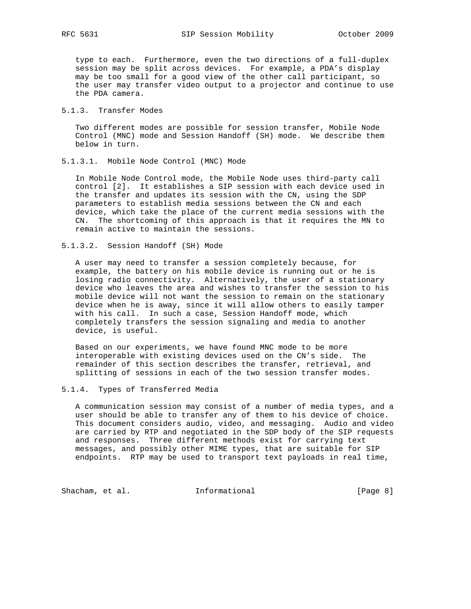type to each. Furthermore, even the two directions of a full-duplex session may be split across devices. For example, a PDA's display may be too small for a good view of the other call participant, so the user may transfer video output to a projector and continue to use the PDA camera.

## 5.1.3. Transfer Modes

 Two different modes are possible for session transfer, Mobile Node Control (MNC) mode and Session Handoff (SH) mode. We describe them below in turn.

5.1.3.1. Mobile Node Control (MNC) Mode

 In Mobile Node Control mode, the Mobile Node uses third-party call control [2]. It establishes a SIP session with each device used in the transfer and updates its session with the CN, using the SDP parameters to establish media sessions between the CN and each device, which take the place of the current media sessions with the CN. The shortcoming of this approach is that it requires the MN to remain active to maintain the sessions.

5.1.3.2. Session Handoff (SH) Mode

 A user may need to transfer a session completely because, for example, the battery on his mobile device is running out or he is losing radio connectivity. Alternatively, the user of a stationary device who leaves the area and wishes to transfer the session to his mobile device will not want the session to remain on the stationary device when he is away, since it will allow others to easily tamper with his call. In such a case, Session Handoff mode, which completely transfers the session signaling and media to another device, is useful.

 Based on our experiments, we have found MNC mode to be more interoperable with existing devices used on the CN's side. The remainder of this section describes the transfer, retrieval, and splitting of sessions in each of the two session transfer modes.

## 5.1.4. Types of Transferred Media

 A communication session may consist of a number of media types, and a user should be able to transfer any of them to his device of choice. This document considers audio, video, and messaging. Audio and video are carried by RTP and negotiated in the SDP body of the SIP requests and responses. Three different methods exist for carrying text messages, and possibly other MIME types, that are suitable for SIP endpoints. RTP may be used to transport text payloads in real time,

Shacham, et al. 1nformational 1999 [Page 8]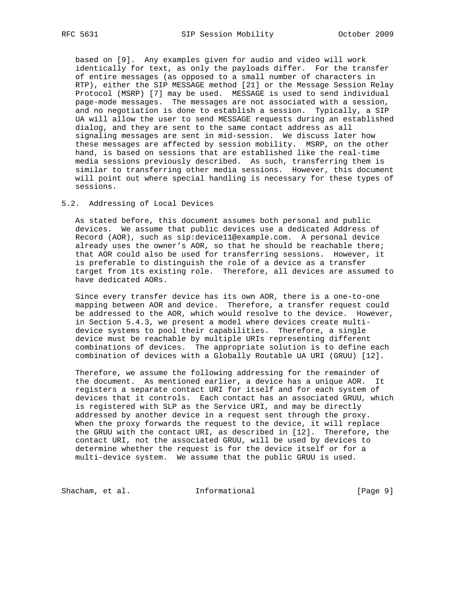based on [9]. Any examples given for audio and video will work identically for text, as only the payloads differ. For the transfer of entire messages (as opposed to a small number of characters in RTP), either the SIP MESSAGE method [21] or the Message Session Relay Protocol (MSRP) [7] may be used. MESSAGE is used to send individual page-mode messages. The messages are not associated with a session, and no negotiation is done to establish a session. Typically, a SIP UA will allow the user to send MESSAGE requests during an established dialog, and they are sent to the same contact address as all signaling messages are sent in mid-session. We discuss later how these messages are affected by session mobility. MSRP, on the other hand, is based on sessions that are established like the real-time media sessions previously described. As such, transferring them is similar to transferring other media sessions. However, this document will point out where special handling is necessary for these types of sessions.

# 5.2. Addressing of Local Devices

 As stated before, this document assumes both personal and public devices. We assume that public devices use a dedicated Address of Record (AOR), such as sip:device11@example.com. A personal device already uses the owner's AOR, so that he should be reachable there; that AOR could also be used for transferring sessions. However, it is preferable to distinguish the role of a device as a transfer target from its existing role. Therefore, all devices are assumed to have dedicated AORs.

 Since every transfer device has its own AOR, there is a one-to-one mapping between AOR and device. Therefore, a transfer request could be addressed to the AOR, which would resolve to the device. However, in Section 5.4.3, we present a model where devices create multi device systems to pool their capabilities. Therefore, a single device must be reachable by multiple URIs representing different combinations of devices. The appropriate solution is to define each combination of devices with a Globally Routable UA URI (GRUU) [12].

 Therefore, we assume the following addressing for the remainder of the document. As mentioned earlier, a device has a unique AOR. It registers a separate contact URI for itself and for each system of devices that it controls. Each contact has an associated GRUU, which is registered with SLP as the Service URI, and may be directly addressed by another device in a request sent through the proxy. When the proxy forwards the request to the device, it will replace the GRUU with the contact URI, as described in [12]. Therefore, the contact URI, not the associated GRUU, will be used by devices to determine whether the request is for the device itself or for a multi-device system. We assume that the public GRUU is used.

Shacham, et al. 1nformational 1999 [Page 9]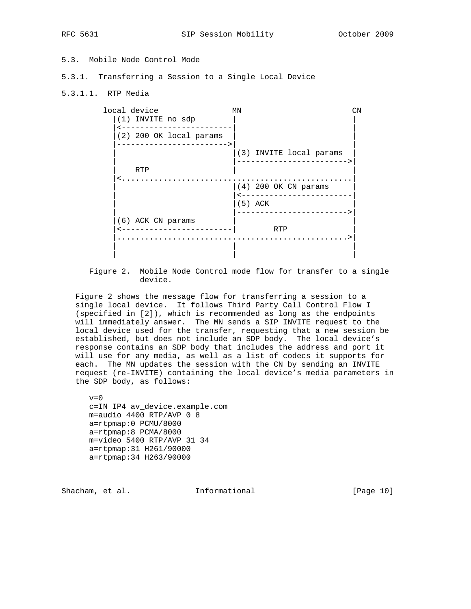# 5.3. Mobile Node Control Mode

- 5.3.1. Transferring a Session to a Single Local Device
- 5.3.1.1. RTP Media

| local device                                        | ΜN                      | CN |
|-----------------------------------------------------|-------------------------|----|
| (1) INVITE no sdp                                   |                         |    |
| (2) 200 OK local params<br>------------------------ |                         |    |
|                                                     | (3) INVITE local params |    |
| <b>RTP</b>                                          |                         |    |
| <.                                                  | $(4)$ 200 OK CN params  |    |
|                                                     | $(5)$ ACK               |    |
| (6) ACK CN params                                   |                         |    |
|                                                     | RTP                     |    |
|                                                     |                         |    |
|                                                     |                         |    |

 Figure 2. Mobile Node Control mode flow for transfer to a single device.

 Figure 2 shows the message flow for transferring a session to a single local device. It follows Third Party Call Control Flow I (specified in [2]), which is recommended as long as the endpoints will immediately answer. The MN sends a SIP INVITE request to the local device used for the transfer, requesting that a new session be established, but does not include an SDP body. The local device's response contains an SDP body that includes the address and port it will use for any media, as well as a list of codecs it supports for each. The MN updates the session with the CN by sending an INVITE request (re-INVITE) containing the local device's media parameters in the SDP body, as follows:

 $v=0$  c=IN IP4 av\_device.example.com m=audio 4400 RTP/AVP 0 8 a=rtpmap:0 PCMU/8000 a=rtpmap:8 PCMA/8000 m=video 5400 RTP/AVP 31 34 a=rtpmap:31 H261/90000 a=rtpmap:34 H263/90000

Shacham, et al. **Informational** [Page 10]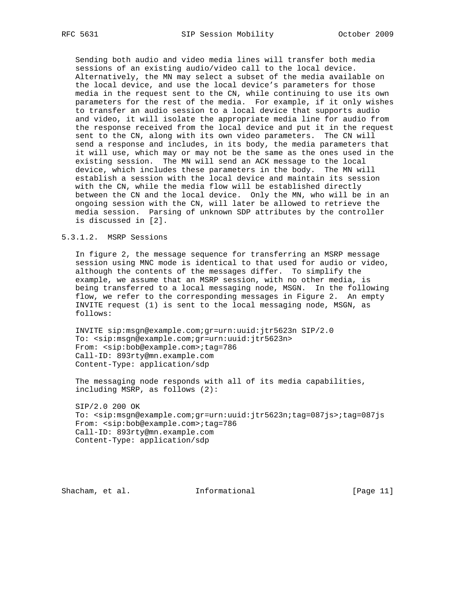Sending both audio and video media lines will transfer both media sessions of an existing audio/video call to the local device. Alternatively, the MN may select a subset of the media available on the local device, and use the local device's parameters for those media in the request sent to the CN, while continuing to use its own parameters for the rest of the media. For example, if it only wishes to transfer an audio session to a local device that supports audio and video, it will isolate the appropriate media line for audio from the response received from the local device and put it in the request sent to the CN, along with its own video parameters. The CN will send a response and includes, in its body, the media parameters that it will use, which may or may not be the same as the ones used in the existing session. The MN will send an ACK message to the local device, which includes these parameters in the body. The MN will establish a session with the local device and maintain its session with the CN, while the media flow will be established directly between the CN and the local device. Only the MN, who will be in an ongoing session with the CN, will later be allowed to retrieve the media session. Parsing of unknown SDP attributes by the controller is discussed in [2].

## 5.3.1.2. MSRP Sessions

 In figure 2, the message sequence for transferring an MSRP message session using MNC mode is identical to that used for audio or video, although the contents of the messages differ. To simplify the example, we assume that an MSRP session, with no other media, is being transferred to a local messaging node, MSGN. In the following flow, we refer to the corresponding messages in Figure 2. An empty INVITE request (1) is sent to the local messaging node, MSGN, as follows:

 INVITE sip:msgn@example.com;gr=urn:uuid:jtr5623n SIP/2.0 To: <sip:msgn@example.com;gr=urn:uuid:jtr5623n> From: <sip:bob@example.com>;tag=786 Call-ID: 893rty@mn.example.com Content-Type: application/sdp

 The messaging node responds with all of its media capabilities, including MSRP, as follows (2):

 SIP/2.0 200 OK To: <sip:msgn@example.com;gr=urn:uuid:jtr5623n;tag=087js>;tag=087js From: <sip:bob@example.com>;tag=786 Call-ID: 893rty@mn.example.com Content-Type: application/sdp

Shacham, et al. 1nformational [Page 11]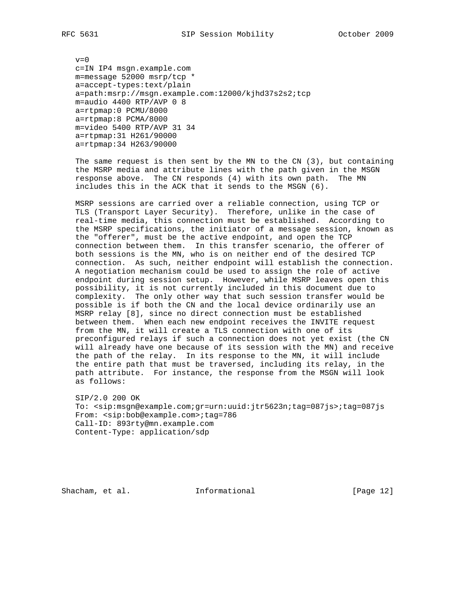$v=0$  c=IN IP4 msgn.example.com m=message 52000 msrp/tcp \* a=accept-types:text/plain a=path:msrp://msgn.example.com:12000/kjhd37s2s2;tcp m=audio 4400 RTP/AVP 0 8 a=rtpmap:0 PCMU/8000 a=rtpmap:8 PCMA/8000 m=video 5400 RTP/AVP 31 34 a=rtpmap:31 H261/90000 a=rtpmap:34 H263/90000

 The same request is then sent by the MN to the CN (3), but containing the MSRP media and attribute lines with the path given in the MSGN response above. The CN responds (4) with its own path. The MN includes this in the ACK that it sends to the MSGN (6).

 MSRP sessions are carried over a reliable connection, using TCP or TLS (Transport Layer Security). Therefore, unlike in the case of real-time media, this connection must be established. According to the MSRP specifications, the initiator of a message session, known as the "offerer", must be the active endpoint, and open the TCP connection between them. In this transfer scenario, the offerer of both sessions is the MN, who is on neither end of the desired TCP connection. As such, neither endpoint will establish the connection. A negotiation mechanism could be used to assign the role of active endpoint during session setup. However, while MSRP leaves open this possibility, it is not currently included in this document due to complexity. The only other way that such session transfer would be possible is if both the CN and the local device ordinarily use an MSRP relay [8], since no direct connection must be established between them. When each new endpoint receives the INVITE request from the MN, it will create a TLS connection with one of its preconfigured relays if such a connection does not yet exist (the CN will already have one because of its session with the MN) and receive the path of the relay. In its response to the MN, it will include the entire path that must be traversed, including its relay, in the path attribute. For instance, the response from the MSGN will look as follows:

 SIP/2.0 200 OK To: <sip:msgn@example.com;gr=urn:uuid:jtr5623n;tag=087js>;tag=087js From: <sip:bob@example.com>;tag=786 Call-ID: 893rty@mn.example.com Content-Type: application/sdp

Shacham, et al. **Informational** [Page 12]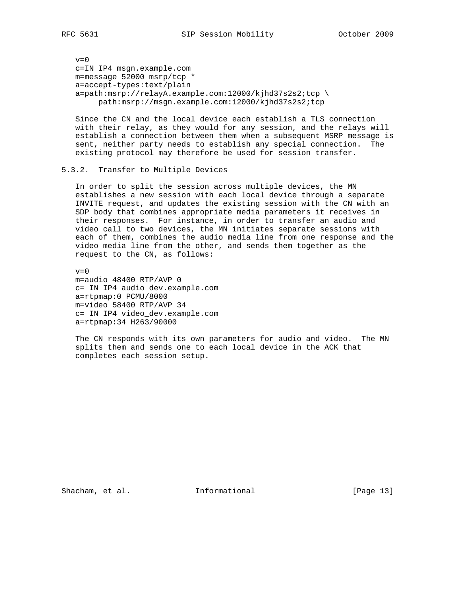$v=0$  c=IN IP4 msgn.example.com m=message 52000 msrp/tcp \* a=accept-types:text/plain a=path:msrp://relayA.example.com:12000/kjhd37s2s2;tcp \ path:msrp://msgn.example.com:12000/kjhd37s2s2;tcp

 Since the CN and the local device each establish a TLS connection with their relay, as they would for any session, and the relays will establish a connection between them when a subsequent MSRP message is sent, neither party needs to establish any special connection. The existing protocol may therefore be used for session transfer.

### 5.3.2. Transfer to Multiple Devices

 In order to split the session across multiple devices, the MN establishes a new session with each local device through a separate INVITE request, and updates the existing session with the CN with an SDP body that combines appropriate media parameters it receives in their responses. For instance, in order to transfer an audio and video call to two devices, the MN initiates separate sessions with each of them, combines the audio media line from one response and the video media line from the other, and sends them together as the request to the CN, as follows:

 $v=0$  m=audio 48400 RTP/AVP 0 c= IN IP4 audio\_dev.example.com a=rtpmap:0 PCMU/8000 m=video 58400 RTP/AVP 34 c= IN IP4 video\_dev.example.com a=rtpmap:34 H263/90000

 The CN responds with its own parameters for audio and video. The MN splits them and sends one to each local device in the ACK that completes each session setup.

Shacham, et al. **Informational** [Page 13]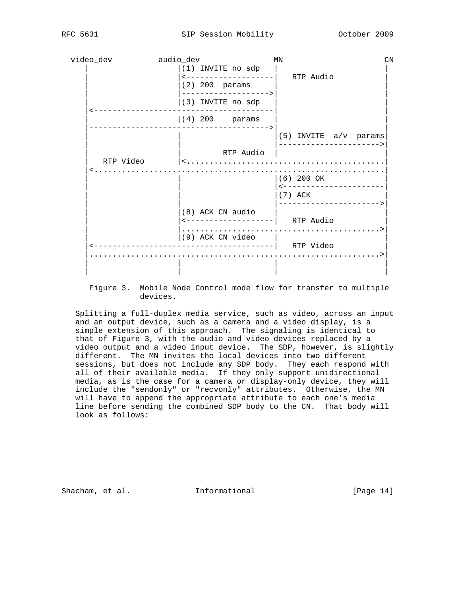

 Figure 3. Mobile Node Control mode flow for transfer to multiple devices.

 Splitting a full-duplex media service, such as video, across an input and an output device, such as a camera and a video display, is a simple extension of this approach. The signaling is identical to that of Figure 3, with the audio and video devices replaced by a video output and a video input device. The SDP, however, is slightly different. The MN invites the local devices into two different sessions, but does not include any SDP body. They each respond with all of their available media. If they only support unidirectional media, as is the case for a camera or display-only device, they will include the "sendonly" or "recvonly" attributes. Otherwise, the MN will have to append the appropriate attribute to each one's media line before sending the combined SDP body to the CN. That body will look as follows:

Shacham, et al. **Informational** [Page 14]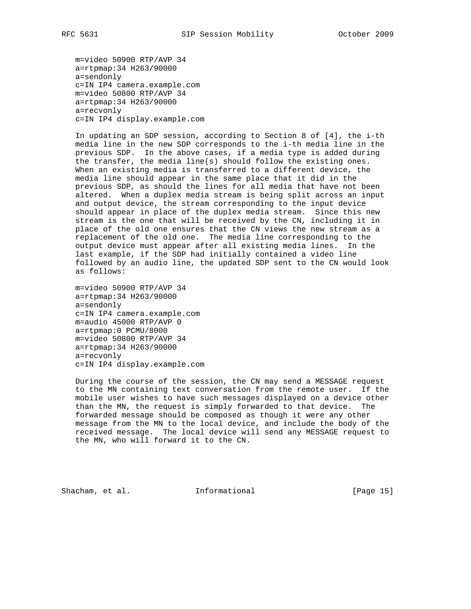m=video 50900 RTP/AVP 34 a=rtpmap:34 H263/90000 a=sendonly c=IN IP4 camera.example.com m=video 50800 RTP/AVP 34 a=rtpmap:34 H263/90000 a=recvonly c=IN IP4 display.example.com

 In updating an SDP session, according to Section 8 of [4], the i-th media line in the new SDP corresponds to the i-th media line in the previous SDP. In the above cases, if a media type is added during the transfer, the media line(s) should follow the existing ones. When an existing media is transferred to a different device, the media line should appear in the same place that it did in the previous SDP, as should the lines for all media that have not been altered. When a duplex media stream is being split across an input and output device, the stream corresponding to the input device should appear in place of the duplex media stream. Since this new stream is the one that will be received by the CN, including it in place of the old one ensures that the CN views the new stream as a replacement of the old one. The media line corresponding to the output device must appear after all existing media lines. In the last example, if the SDP had initially contained a video line followed by an audio line, the updated SDP sent to the CN would look as follows:

 m=video 50900 RTP/AVP 34 a=rtpmap:34 H263/90000 a=sendonly c=IN IP4 camera.example.com m=audio 45000 RTP/AVP 0 a=rtpmap:0 PCMU/8000 m=video 50800 RTP/AVP 34 a=rtpmap:34 H263/90000 a=recvonly c=IN IP4 display.example.com

 During the course of the session, the CN may send a MESSAGE request to the MN containing text conversation from the remote user. If the mobile user wishes to have such messages displayed on a device other than the MN, the request is simply forwarded to that device. The forwarded message should be composed as though it were any other message from the MN to the local device, and include the body of the received message. The local device will send any MESSAGE request to the MN, who will forward it to the CN.

Shacham, et al. **Informational** [Page 15]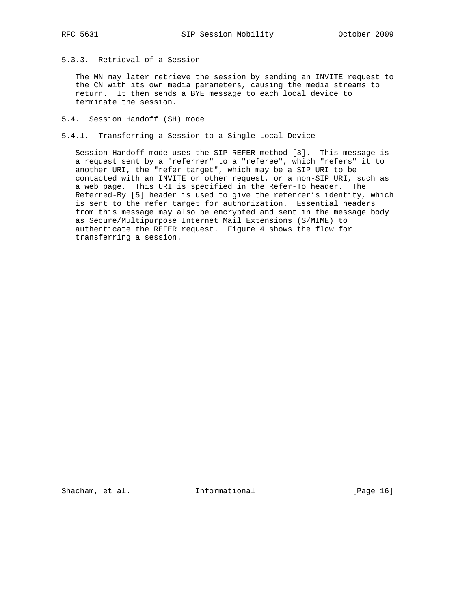# 5.3.3. Retrieval of a Session

 The MN may later retrieve the session by sending an INVITE request to the CN with its own media parameters, causing the media streams to return. It then sends a BYE message to each local device to terminate the session.

- 5.4. Session Handoff (SH) mode
- 5.4.1. Transferring a Session to a Single Local Device

 Session Handoff mode uses the SIP REFER method [3]. This message is a request sent by a "referrer" to a "referee", which "refers" it to another URI, the "refer target", which may be a SIP URI to be contacted with an INVITE or other request, or a non-SIP URI, such as a web page. This URI is specified in the Refer-To header. The Referred-By [5] header is used to give the referrer's identity, which is sent to the refer target for authorization. Essential headers from this message may also be encrypted and sent in the message body as Secure/Multipurpose Internet Mail Extensions (S/MIME) to authenticate the REFER request. Figure 4 shows the flow for transferring a session.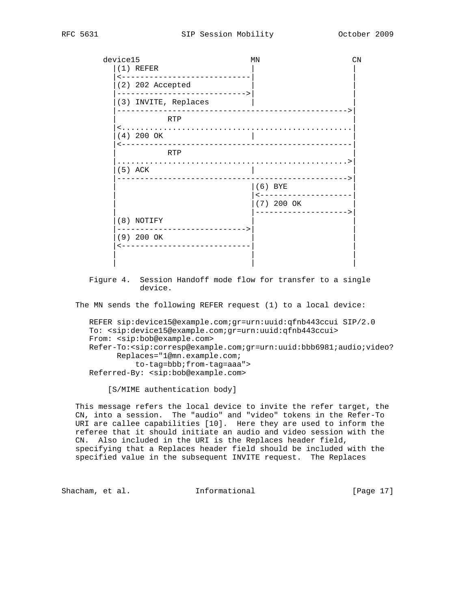device15 MN MN CN  $(1)$  REFER |<----------------------------| |  $(2)$  202 Accepted |---------------------------->| | (3) INVITE, Replaces |-------------------------------------------------->| | RTP | |<..................................................| |(4) 200 OK | | |<--------------------------------------------------| | RTP | |..................................................>| (5) ACK |-------------------------------------------------->|  $|(6)$  BYE | <------------------- $|(7)$  200 OK | |-------------------->| |(8) NOTIFY | | |---------------------------->| | |(9) 200 OK | | |<----------------------------| | | | | | | |

 Figure 4. Session Handoff mode flow for transfer to a single device.

The MN sends the following REFER request (1) to a local device:

 REFER sip:device15@example.com;gr=urn:uuid:qfnb443ccui SIP/2.0 To: <sip:device15@example.com;gr=urn:uuid:qfnb443ccui> From: <sip:bob@example.com> Refer-To:<sip:corresp@example.com;gr=urn:uuid:bbb6981;audio;video? Replaces="1@mn.example.com; to-tag=bbb;from-tag=aaa"> Referred-By: <sip:bob@example.com>

[S/MIME authentication body]

 This message refers the local device to invite the refer target, the CN, into a session. The "audio" and "video" tokens in the Refer-To URI are callee capabilities [10]. Here they are used to inform the referee that it should initiate an audio and video session with the CN. Also included in the URI is the Replaces header field, specifying that a Replaces header field should be included with the specified value in the subsequent INVITE request. The Replaces

Shacham, et al. **Informational** [Page 17]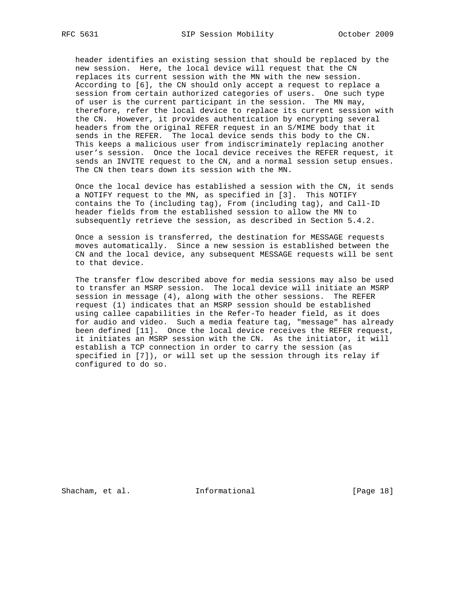header identifies an existing session that should be replaced by the new session. Here, the local device will request that the CN replaces its current session with the MN with the new session. According to [6], the CN should only accept a request to replace a session from certain authorized categories of users. One such type of user is the current participant in the session. The MN may, therefore, refer the local device to replace its current session with the CN. However, it provides authentication by encrypting several headers from the original REFER request in an S/MIME body that it sends in the REFER. The local device sends this body to the CN. This keeps a malicious user from indiscriminately replacing another user's session. Once the local device receives the REFER request, it sends an INVITE request to the CN, and a normal session setup ensues. The CN then tears down its session with the MN.

 Once the local device has established a session with the CN, it sends a NOTIFY request to the MN, as specified in [3]. This NOTIFY contains the To (including tag), From (including tag), and Call-ID header fields from the established session to allow the MN to subsequently retrieve the session, as described in Section 5.4.2.

 Once a session is transferred, the destination for MESSAGE requests moves automatically. Since a new session is established between the CN and the local device, any subsequent MESSAGE requests will be sent to that device.

 The transfer flow described above for media sessions may also be used to transfer an MSRP session. The local device will initiate an MSRP session in message (4), along with the other sessions. The REFER request (1) indicates that an MSRP session should be established using callee capabilities in the Refer-To header field, as it does for audio and video. Such a media feature tag, "message" has already been defined [11]. Once the local device receives the REFER request, it initiates an MSRP session with the CN. As the initiator, it will establish a TCP connection in order to carry the session (as specified in [7]), or will set up the session through its relay if configured to do so.

Shacham, et al. 1nformational 1999 [Page 18]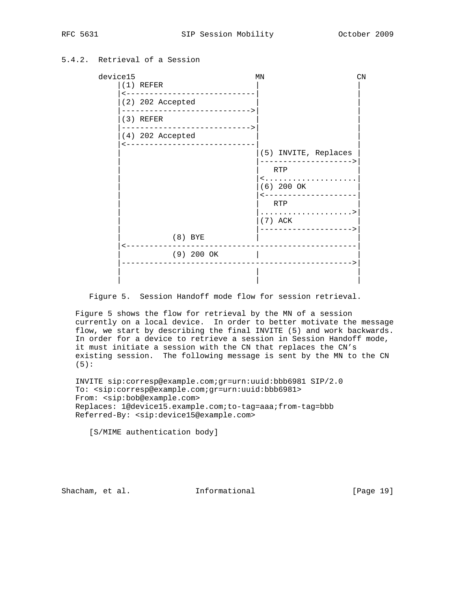5.4.2. Retrieval of a Session

| device15 |                  |                                | MN                                                                                                                    |  |  |  |
|----------|------------------|--------------------------------|-----------------------------------------------------------------------------------------------------------------------|--|--|--|
|          | $(1)$ REFER      | -----------------------------  |                                                                                                                       |  |  |  |
|          | (2) 202 Accepted |                                |                                                                                                                       |  |  |  |
|          | $(3)$ REFER      | ------------------------------ |                                                                                                                       |  |  |  |
|          | (4) 202 Accepted | -----------------------------  |                                                                                                                       |  |  |  |
|          |                  |                                | (5) INVITE, Replaces<br>---------------------<br>RTP<br><<br>$(6)$ 200 OK<br>--------------------<br>RTP<br>$(7)$ ACK |  |  |  |
|          |                  | $(8)$ BYE                      | ---------------------><br>__________________________                                                                  |  |  |  |
|          |                  | $(9)$ 200 OK                   |                                                                                                                       |  |  |  |
|          |                  |                                |                                                                                                                       |  |  |  |

Figure 5. Session Handoff mode flow for session retrieval.

 Figure 5 shows the flow for retrieval by the MN of a session currently on a local device. In order to better motivate the message flow, we start by describing the final INVITE (5) and work backwards. In order for a device to retrieve a session in Session Handoff mode, it must initiate a session with the CN that replaces the CN's existing session. The following message is sent by the MN to the CN (5):

 INVITE sip:corresp@example.com;gr=urn:uuid:bbb6981 SIP/2.0 To: <sip:corresp@example.com;gr=urn:uuid:bbb6981> From: <sip:bob@example.com> Replaces: 1@device15.example.com;to-tag=aaa;from-tag=bbb Referred-By: <sip:device15@example.com>

[S/MIME authentication body]

Shacham, et al. **Informational** [Page 19]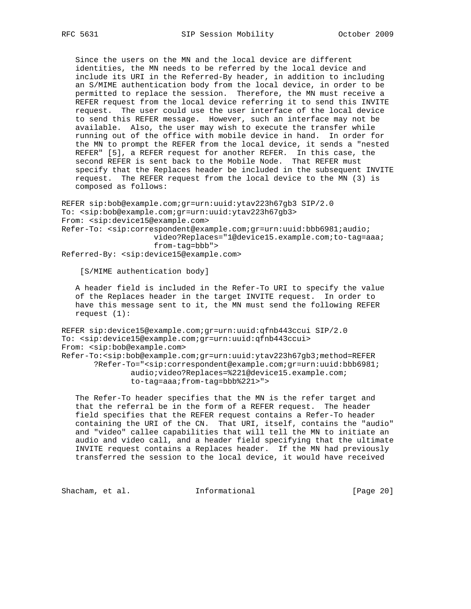Since the users on the MN and the local device are different identities, the MN needs to be referred by the local device and include its URI in the Referred-By header, in addition to including an S/MIME authentication body from the local device, in order to be permitted to replace the session. Therefore, the MN must receive a REFER request from the local device referring it to send this INVITE request. The user could use the user interface of the local device to send this REFER message. However, such an interface may not be available. Also, the user may wish to execute the transfer while running out of the office with mobile device in hand. In order for the MN to prompt the REFER from the local device, it sends a "nested REFER" [5], a REFER request for another REFER. In this case, the second REFER is sent back to the Mobile Node. That REFER must specify that the Replaces header be included in the subsequent INVITE request. The REFER request from the local device to the MN (3) is composed as follows:

REFER sip:bob@example.com;gr=urn:uuid:ytav223h67gb3 SIP/2.0 To: <sip:bob@example.com;gr=urn:uuid:ytav223h67gb3> From: <sip:device15@example.com> Refer-To: <sip:correspondent@example.com;gr=urn:uuid:bbb6981;audio; video?Replaces="1@device15.example.com;to-tag=aaa; from-tag=bbb"> Referred-By: <sip:device15@example.com>

[S/MIME authentication body]

 A header field is included in the Refer-To URI to specify the value of the Replaces header in the target INVITE request. In order to have this message sent to it, the MN must send the following REFER request (1):

REFER sip:device15@example.com;gr=urn:uuid:qfnb443ccui SIP/2.0 To: <sip:device15@example.com;gr=urn:uuid:qfnb443ccui> From: <sip:bob@example.com> Refer-To:<sip:bob@example.com;gr=urn:uuid:ytav223h67gb3;method=REFER ?Refer-To="<sip:correspondent@example.com;gr=urn:uuid:bbb6981; audio;video?Replaces=%221@device15.example.com; to-tag=aaa;from-tag=bbb%221>">

 The Refer-To header specifies that the MN is the refer target and that the referral be in the form of a REFER request. The header field specifies that the REFER request contains a Refer-To header containing the URI of the CN. That URI, itself, contains the "audio" and "video" callee capabilities that will tell the MN to initiate an audio and video call, and a header field specifying that the ultimate INVITE request contains a Replaces header. If the MN had previously transferred the session to the local device, it would have received

Shacham, et al. 1nformational 1999 [Page 20]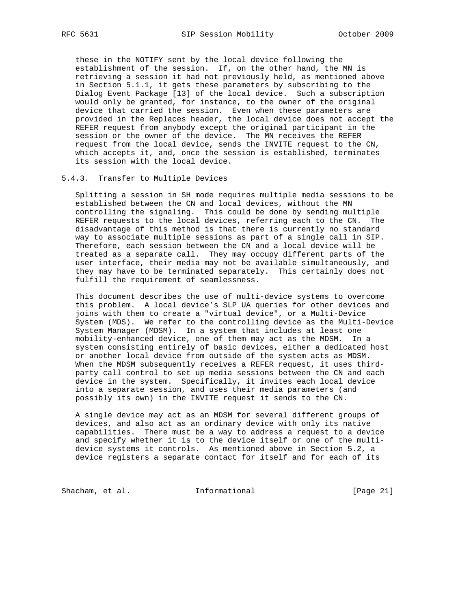these in the NOTIFY sent by the local device following the establishment of the session. If, on the other hand, the MN is retrieving a session it had not previously held, as mentioned above in Section 5.1.1, it gets these parameters by subscribing to the Dialog Event Package [13] of the local device. Such a subscription would only be granted, for instance, to the owner of the original device that carried the session. Even when these parameters are provided in the Replaces header, the local device does not accept the REFER request from anybody except the original participant in the session or the owner of the device. The MN receives the REFER request from the local device, sends the INVITE request to the CN, which accepts it, and, once the session is established, terminates its session with the local device.

### 5.4.3. Transfer to Multiple Devices

 Splitting a session in SH mode requires multiple media sessions to be established between the CN and local devices, without the MN controlling the signaling. This could be done by sending multiple REFER requests to the local devices, referring each to the CN. The disadvantage of this method is that there is currently no standard way to associate multiple sessions as part of a single call in SIP. Therefore, each session between the CN and a local device will be treated as a separate call. They may occupy different parts of the user interface, their media may not be available simultaneously, and they may have to be terminated separately. This certainly does not fulfill the requirement of seamlessness.

 This document describes the use of multi-device systems to overcome this problem. A local device's SLP UA queries for other devices and joins with them to create a "virtual device", or a Multi-Device System (MDS). We refer to the controlling device as the Multi-Device System Manager (MDSM). In a system that includes at least one mobility-enhanced device, one of them may act as the MDSM. In a system consisting entirely of basic devices, either a dedicated host or another local device from outside of the system acts as MDSM. When the MDSM subsequently receives a REFER request, it uses third party call control to set up media sessions between the CN and each device in the system. Specifically, it invites each local device into a separate session, and uses their media parameters (and possibly its own) in the INVITE request it sends to the CN.

 A single device may act as an MDSM for several different groups of devices, and also act as an ordinary device with only its native capabilities. There must be a way to address a request to a device and specify whether it is to the device itself or one of the multi device systems it controls. As mentioned above in Section 5.2, a device registers a separate contact for itself and for each of its

Shacham, et al. 1nformational 1999 [Page 21]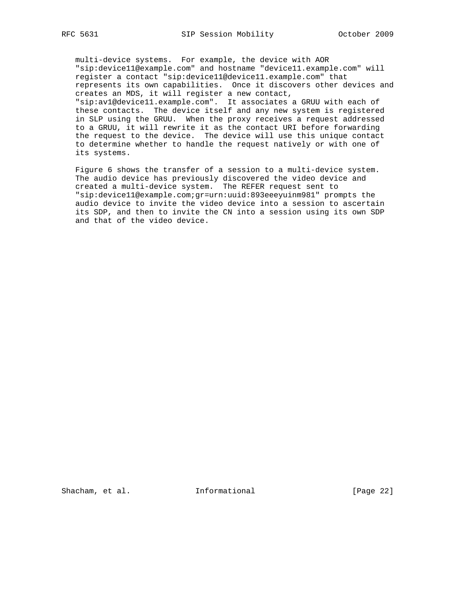multi-device systems. For example, the device with AOR "sip:device11@example.com" and hostname "device11.example.com" will register a contact "sip:device11@device11.example.com" that represents its own capabilities. Once it discovers other devices and creates an MDS, it will register a new contact, "sip:av1@device11.example.com". It associates a GRUU with each of these contacts. The device itself and any new system is registered in SLP using the GRUU. When the proxy receives a request addressed to a GRUU, it will rewrite it as the contact URI before forwarding the request to the device. The device will use this unique contact to determine whether to handle the request natively or with one of its systems.

 Figure 6 shows the transfer of a session to a multi-device system. The audio device has previously discovered the video device and created a multi-device system. The REFER request sent to "sip:device11@example.com;gr=urn:uuid:893eeeyuinm981" prompts the audio device to invite the video device into a session to ascertain its SDP, and then to invite the CN into a session using its own SDP and that of the video device.

Shacham, et al. **Informational** [Page 22]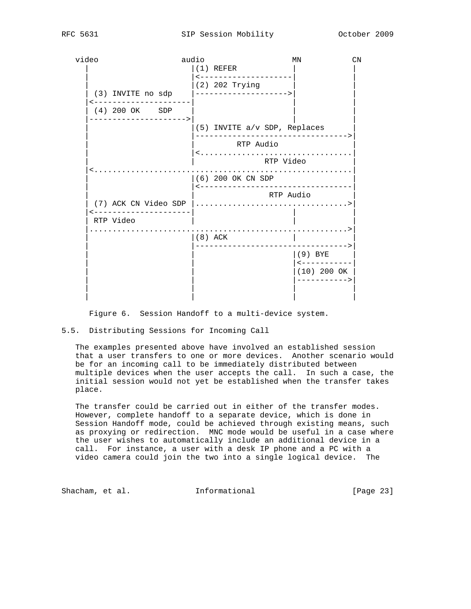| video                                 | audio                                     | ΜN                               | CN |
|---------------------------------------|-------------------------------------------|----------------------------------|----|
|                                       | $(1)$ REFER<br>--------------------       |                                  |    |
| (3) INVITE no sdp                     | (2) 202 Trying<br> ---------------------> |                                  |    |
| -------------------<br>(4) 200 OK SDP |                                           |                                  |    |
| _____________________                 |                                           | $(5)$ INVITE $a/v$ SDP, Replaces |    |
|                                       | RTP Audio                                 | <                                |    |
|                                       |                                           | RTP Video                        |    |
|                                       | $(6)$ 200 OK CN SDP                       | <------------------------------- |    |
|                                       |                                           | RTP Audio                        |    |
| ---------------------<br>RTP Video    |                                           |                                  |    |
|                                       | $ (8)$ ACK                                |                                  |    |
|                                       |                                           | $(9)$ BYE<br>------------        |    |
|                                       |                                           | $(10)$ 200 OK<br>----------->    |    |
|                                       |                                           |                                  |    |
|                                       |                                           |                                  |    |

Figure 6. Session Handoff to a multi-device system.

## 5.5. Distributing Sessions for Incoming Call

 The examples presented above have involved an established session that a user transfers to one or more devices. Another scenario would be for an incoming call to be immediately distributed between multiple devices when the user accepts the call. In such a case, the initial session would not yet be established when the transfer takes place.

 The transfer could be carried out in either of the transfer modes. However, complete handoff to a separate device, which is done in Session Handoff mode, could be achieved through existing means, such as proxying or redirection. MNC mode would be useful in a case where the user wishes to automatically include an additional device in a call. For instance, a user with a desk IP phone and a PC with a video camera could join the two into a single logical device. The

Shacham, et al. 1nformational [Page 23]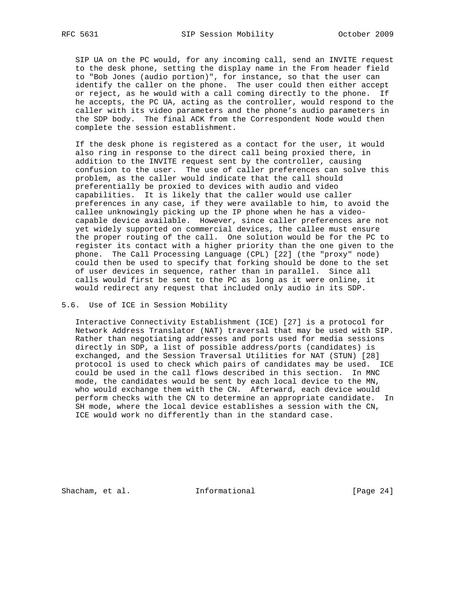SIP UA on the PC would, for any incoming call, send an INVITE request to the desk phone, setting the display name in the From header field to "Bob Jones (audio portion)", for instance, so that the user can identify the caller on the phone. The user could then either accept or reject, as he would with a call coming directly to the phone. If he accepts, the PC UA, acting as the controller, would respond to the caller with its video parameters and the phone's audio parameters in the SDP body. The final ACK from the Correspondent Node would then complete the session establishment.

 If the desk phone is registered as a contact for the user, it would also ring in response to the direct call being proxied there, in addition to the INVITE request sent by the controller, causing confusion to the user. The use of caller preferences can solve this problem, as the caller would indicate that the call should preferentially be proxied to devices with audio and video capabilities. It is likely that the caller would use caller preferences in any case, if they were available to him, to avoid the callee unknowingly picking up the IP phone when he has a video capable device available. However, since caller preferences are not yet widely supported on commercial devices, the callee must ensure the proper routing of the call. One solution would be for the PC to register its contact with a higher priority than the one given to the phone. The Call Processing Language (CPL) [22] (the "proxy" node) could then be used to specify that forking should be done to the set of user devices in sequence, rather than in parallel. Since all calls would first be sent to the PC as long as it were online, it would redirect any request that included only audio in its SDP.

5.6. Use of ICE in Session Mobility

 Interactive Connectivity Establishment (ICE) [27] is a protocol for Network Address Translator (NAT) traversal that may be used with SIP. Rather than negotiating addresses and ports used for media sessions directly in SDP, a list of possible address/ports (candidates) is exchanged, and the Session Traversal Utilities for NAT (STUN) [28] protocol is used to check which pairs of candidates may be used. ICE could be used in the call flows described in this section. In MNC mode, the candidates would be sent by each local device to the MN, who would exchange them with the CN. Afterward, each device would perform checks with the CN to determine an appropriate candidate. In SH mode, where the local device establishes a session with the CN, ICE would work no differently than in the standard case.

Shacham, et al. 1nformational 1999 [Page 24]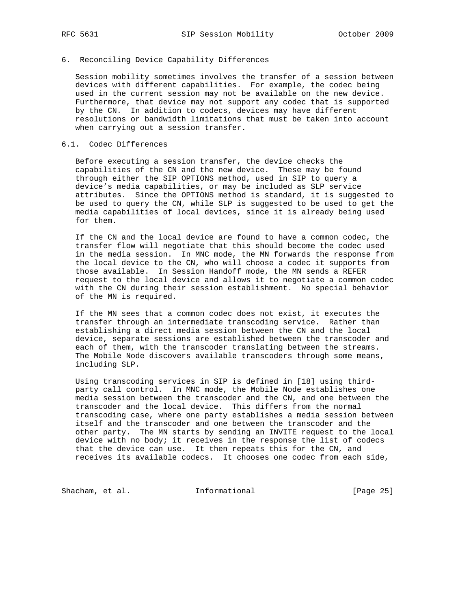# 6. Reconciling Device Capability Differences

 Session mobility sometimes involves the transfer of a session between devices with different capabilities. For example, the codec being used in the current session may not be available on the new device. Furthermore, that device may not support any codec that is supported by the CN. In addition to codecs, devices may have different resolutions or bandwidth limitations that must be taken into account when carrying out a session transfer.

### 6.1. Codec Differences

 Before executing a session transfer, the device checks the capabilities of the CN and the new device. These may be found through either the SIP OPTIONS method, used in SIP to query a device's media capabilities, or may be included as SLP service attributes. Since the OPTIONS method is standard, it is suggested to be used to query the CN, while SLP is suggested to be used to get the media capabilities of local devices, since it is already being used for them.

 If the CN and the local device are found to have a common codec, the transfer flow will negotiate that this should become the codec used in the media session. In MNC mode, the MN forwards the response from the local device to the CN, who will choose a codec it supports from those available. In Session Handoff mode, the MN sends a REFER request to the local device and allows it to negotiate a common codec with the CN during their session establishment. No special behavior of the MN is required.

 If the MN sees that a common codec does not exist, it executes the transfer through an intermediate transcoding service. Rather than establishing a direct media session between the CN and the local device, separate sessions are established between the transcoder and each of them, with the transcoder translating between the streams. The Mobile Node discovers available transcoders through some means, including SLP.

 Using transcoding services in SIP is defined in [18] using third party call control. In MNC mode, the Mobile Node establishes one media session between the transcoder and the CN, and one between the transcoder and the local device. This differs from the normal transcoding case, where one party establishes a media session between itself and the transcoder and one between the transcoder and the other party. The MN starts by sending an INVITE request to the local device with no body; it receives in the response the list of codecs that the device can use. It then repeats this for the CN, and receives its available codecs. It chooses one codec from each side,

Shacham, et al. 1nformational 1999 [Page 25]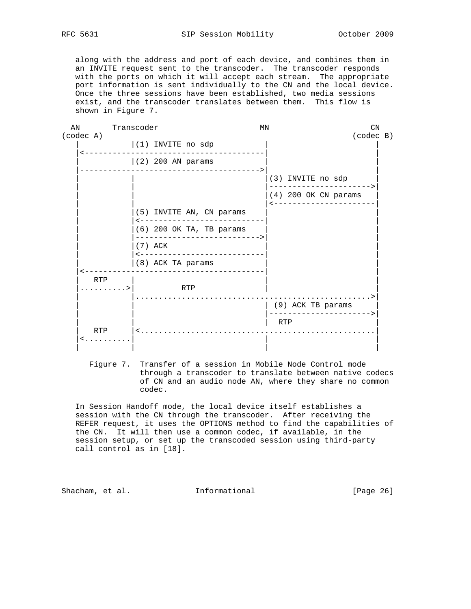along with the address and port of each device, and combines them in an INVITE request sent to the transcoder. The transcoder responds with the ports on which it will accept each stream. The appropriate port information is sent individually to the CN and the local device. Once the three sessions have been established, two media sessions exist, and the transcoder translates between them. This flow is shown in Figure 7.

| AN |           | Transcoder                                               |                            | ΜN |                                                  | CN        |  |
|----|-----------|----------------------------------------------------------|----------------------------|----|--------------------------------------------------|-----------|--|
|    | (codec A) |                                                          |                            |    |                                                  | (codec B) |  |
|    |           | $(1)$ INVITE no sdp                                      |                            |    |                                                  |           |  |
|    |           | $(2)$ 200 AN params                                      | -----------                |    |                                                  |           |  |
|    |           |                                                          |                            |    | (3) INVITE no sdp                                |           |  |
|    |           |                                                          |                            |    |                                                  |           |  |
|    |           |                                                          |                            |    | $(4)$ 200 OK CN params<br>---------------------- |           |  |
|    |           | (5) INVITE AN, CN params<br>---------------------------- |                            |    |                                                  |           |  |
|    |           | (6) 200 OK TA, TB params<br>---------------------------- |                            |    |                                                  |           |  |
|    |           | (7) ACK                                                  | __________________________ |    |                                                  |           |  |
|    |           | (8) ACK TA params                                        |                            |    |                                                  |           |  |
|    | RTP       | _____________________________                            |                            |    |                                                  |           |  |
|    | . >       | RTP                                                      |                            |    |                                                  |           |  |
|    |           |                                                          |                            |    | (9) ACK TB params<br>----------------------      |           |  |
|    |           |                                                          |                            |    | <b>RTP</b>                                       |           |  |
|    | RTP       | $\leq$                                                   |                            |    |                                                  |           |  |
|    | $\leq$    |                                                          |                            |    |                                                  |           |  |
|    |           |                                                          |                            |    |                                                  |           |  |

 Figure 7. Transfer of a session in Mobile Node Control mode through a transcoder to translate between native codecs of CN and an audio node AN, where they share no common codec.

 In Session Handoff mode, the local device itself establishes a session with the CN through the transcoder. After receiving the REFER request, it uses the OPTIONS method to find the capabilities of the CN. It will then use a common codec, if available, in the session setup, or set up the transcoded session using third-party call control as in [18].

Shacham, et al. **Informational** [Page 26]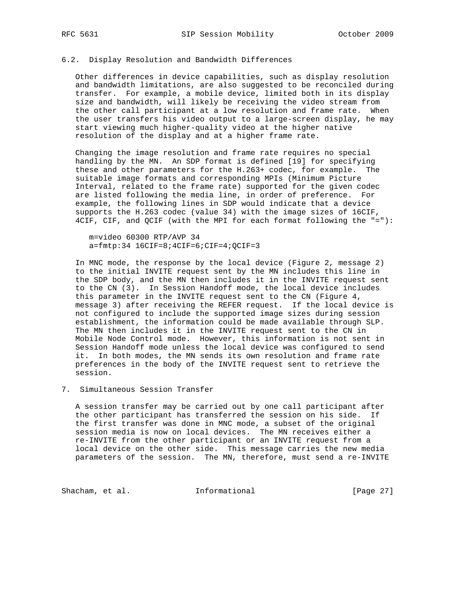## 6.2. Display Resolution and Bandwidth Differences

 Other differences in device capabilities, such as display resolution and bandwidth limitations, are also suggested to be reconciled during transfer. For example, a mobile device, limited both in its display size and bandwidth, will likely be receiving the video stream from the other call participant at a low resolution and frame rate. When the user transfers his video output to a large-screen display, he may start viewing much higher-quality video at the higher native resolution of the display and at a higher frame rate.

 Changing the image resolution and frame rate requires no special handling by the MN. An SDP format is defined [19] for specifying these and other parameters for the H.263+ codec, for example. The suitable image formats and corresponding MPIs (Minimum Picture Interval, related to the frame rate) supported for the given codec are listed following the media line, in order of preference. For example, the following lines in SDP would indicate that a device supports the H.263 codec (value 34) with the image sizes of 16CIF, 4CIF, CIF, and QCIF (with the MPI for each format following the "="):

 m=video 60300 RTP/AVP 34 a=fmtp:34 16CIF=8;4CIF=6;CIF=4;QCIF=3

 In MNC mode, the response by the local device (Figure 2, message 2) to the initial INVITE request sent by the MN includes this line in the SDP body, and the MN then includes it in the INVITE request sent to the CN (3). In Session Handoff mode, the local device includes this parameter in the INVITE request sent to the CN (Figure 4, message 3) after receiving the REFER request. If the local device is not configured to include the supported image sizes during session establishment, the information could be made available through SLP. The MN then includes it in the INVITE request sent to the CN in Mobile Node Control mode. However, this information is not sent in Session Handoff mode unless the local device was configured to send it. In both modes, the MN sends its own resolution and frame rate preferences in the body of the INVITE request sent to retrieve the session.

7. Simultaneous Session Transfer

 A session transfer may be carried out by one call participant after the other participant has transferred the session on his side. If the first transfer was done in MNC mode, a subset of the original session media is now on local devices. The MN receives either a re-INVITE from the other participant or an INVITE request from a local device on the other side. This message carries the new media parameters of the session. The MN, therefore, must send a re-INVITE

Shacham, et al. 1nformational [Page 27]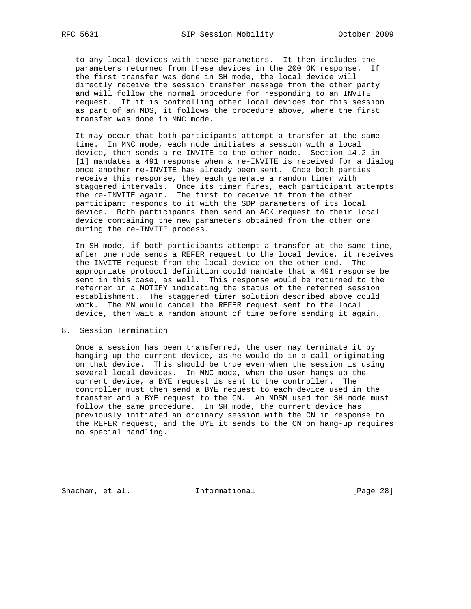to any local devices with these parameters. It then includes the parameters returned from these devices in the 200 OK response. If the first transfer was done in SH mode, the local device will directly receive the session transfer message from the other party and will follow the normal procedure for responding to an INVITE request. If it is controlling other local devices for this session as part of an MDS, it follows the procedure above, where the first transfer was done in MNC mode.

 It may occur that both participants attempt a transfer at the same time. In MNC mode, each node initiates a session with a local device, then sends a re-INVITE to the other node. Section 14.2 in [1] mandates a 491 response when a re-INVITE is received for a dialog once another re-INVITE has already been sent. Once both parties receive this response, they each generate a random timer with staggered intervals. Once its timer fires, each participant attempts the re-INVITE again. The first to receive it from the other participant responds to it with the SDP parameters of its local device. Both participants then send an ACK request to their local device containing the new parameters obtained from the other one during the re-INVITE process.

 In SH mode, if both participants attempt a transfer at the same time, after one node sends a REFER request to the local device, it receives the INVITE request from the local device on the other end. The appropriate protocol definition could mandate that a 491 response be sent in this case, as well. This response would be returned to the referrer in a NOTIFY indicating the status of the referred session establishment. The staggered timer solution described above could work. The MN would cancel the REFER request sent to the local device, then wait a random amount of time before sending it again.

### 8. Session Termination

 Once a session has been transferred, the user may terminate it by hanging up the current device, as he would do in a call originating on that device. This should be true even when the session is using several local devices. In MNC mode, when the user hangs up the current device, a BYE request is sent to the controller. The controller must then send a BYE request to each device used in the transfer and a BYE request to the CN. An MDSM used for SH mode must follow the same procedure. In SH mode, the current device has previously initiated an ordinary session with the CN in response to the REFER request, and the BYE it sends to the CN on hang-up requires no special handling.

Shacham, et al. 1nformational 1999 [Page 28]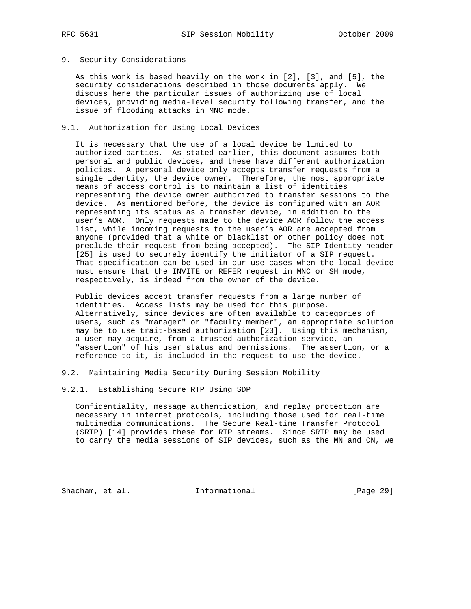### 9. Security Considerations

 As this work is based heavily on the work in [2], [3], and [5], the security considerations described in those documents apply. We discuss here the particular issues of authorizing use of local devices, providing media-level security following transfer, and the issue of flooding attacks in MNC mode.

## 9.1. Authorization for Using Local Devices

 It is necessary that the use of a local device be limited to authorized parties. As stated earlier, this document assumes both personal and public devices, and these have different authorization policies. A personal device only accepts transfer requests from a single identity, the device owner. Therefore, the most appropriate means of access control is to maintain a list of identities representing the device owner authorized to transfer sessions to the device. As mentioned before, the device is configured with an AOR representing its status as a transfer device, in addition to the user's AOR. Only requests made to the device AOR follow the access list, while incoming requests to the user's AOR are accepted from anyone (provided that a white or blacklist or other policy does not preclude their request from being accepted). The SIP-Identity header [25] is used to securely identify the initiator of a SIP request. That specification can be used in our use-cases when the local device must ensure that the INVITE or REFER request in MNC or SH mode, respectively, is indeed from the owner of the device.

 Public devices accept transfer requests from a large number of identities. Access lists may be used for this purpose. Alternatively, since devices are often available to categories of users, such as "manager" or "faculty member", an appropriate solution may be to use trait-based authorization [23]. Using this mechanism, a user may acquire, from a trusted authorization service, an "assertion" of his user status and permissions. The assertion, or a reference to it, is included in the request to use the device.

### 9.2. Maintaining Media Security During Session Mobility

## 9.2.1. Establishing Secure RTP Using SDP

 Confidentiality, message authentication, and replay protection are necessary in internet protocols, including those used for real-time multimedia communications. The Secure Real-time Transfer Protocol (SRTP) [14] provides these for RTP streams. Since SRTP may be used to carry the media sessions of SIP devices, such as the MN and CN, we

Shacham, et al. 1nformational 1999 [Page 29]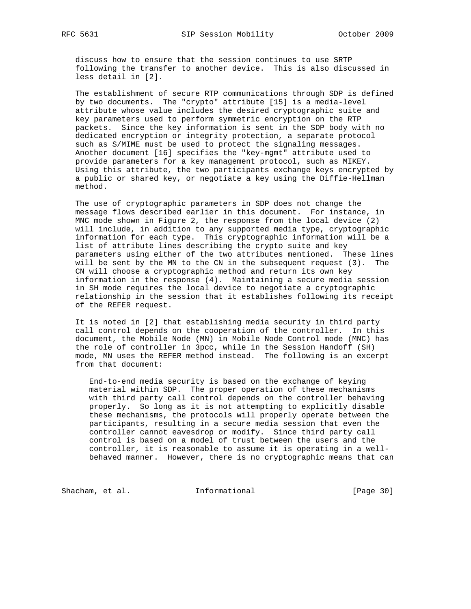discuss how to ensure that the session continues to use SRTP following the transfer to another device. This is also discussed in less detail in [2].

 The establishment of secure RTP communications through SDP is defined by two documents. The "crypto" attribute [15] is a media-level attribute whose value includes the desired cryptographic suite and key parameters used to perform symmetric encryption on the RTP packets. Since the key information is sent in the SDP body with no dedicated encryption or integrity protection, a separate protocol such as S/MIME must be used to protect the signaling messages. Another document [16] specifies the "key-mgmt" attribute used to provide parameters for a key management protocol, such as MIKEY. Using this attribute, the two participants exchange keys encrypted by a public or shared key, or negotiate a key using the Diffie-Hellman method.

 The use of cryptographic parameters in SDP does not change the message flows described earlier in this document. For instance, in MNC mode shown in Figure 2, the response from the local device (2) will include, in addition to any supported media type, cryptographic information for each type. This cryptographic information will be a list of attribute lines describing the crypto suite and key parameters using either of the two attributes mentioned. These lines will be sent by the MN to the CN in the subsequent request (3). The CN will choose a cryptographic method and return its own key information in the response (4). Maintaining a secure media session in SH mode requires the local device to negotiate a cryptographic relationship in the session that it establishes following its receipt of the REFER request.

 It is noted in [2] that establishing media security in third party call control depends on the cooperation of the controller. In this document, the Mobile Node (MN) in Mobile Node Control mode (MNC) has the role of controller in 3pcc, while in the Session Handoff (SH) mode, MN uses the REFER method instead. The following is an excerpt from that document:

 End-to-end media security is based on the exchange of keying material within SDP. The proper operation of these mechanisms with third party call control depends on the controller behaving properly. So long as it is not attempting to explicitly disable these mechanisms, the protocols will properly operate between the participants, resulting in a secure media session that even the controller cannot eavesdrop or modify. Since third party call control is based on a model of trust between the users and the controller, it is reasonable to assume it is operating in a well behaved manner. However, there is no cryptographic means that can

Shacham, et al. 10. Informational [Page 30]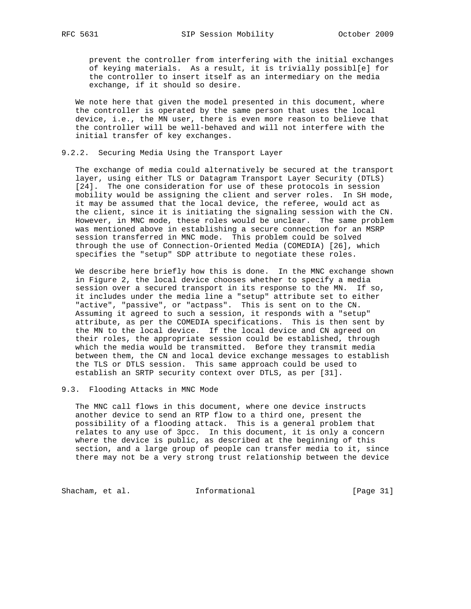prevent the controller from interfering with the initial exchanges of keying materials. As a result, it is trivially possibl[e] for the controller to insert itself as an intermediary on the media exchange, if it should so desire.

 We note here that given the model presented in this document, where the controller is operated by the same person that uses the local device, i.e., the MN user, there is even more reason to believe that the controller will be well-behaved and will not interfere with the initial transfer of key exchanges.

### 9.2.2. Securing Media Using the Transport Layer

 The exchange of media could alternatively be secured at the transport layer, using either TLS or Datagram Transport Layer Security (DTLS) [24]. The one consideration for use of these protocols in session mobility would be assigning the client and server roles. In SH mode, it may be assumed that the local device, the referee, would act as the client, since it is initiating the signaling session with the CN. However, in MNC mode, these roles would be unclear. The same problem was mentioned above in establishing a secure connection for an MSRP session transferred in MNC mode. This problem could be solved through the use of Connection-Oriented Media (COMEDIA) [26], which specifies the "setup" SDP attribute to negotiate these roles.

 We describe here briefly how this is done. In the MNC exchange shown in Figure 2, the local device chooses whether to specify a media session over a secured transport in its response to the MN. If so, it includes under the media line a "setup" attribute set to either "active", "passive", or "actpass". This is sent on to the CN. Assuming it agreed to such a session, it responds with a "setup" attribute, as per the COMEDIA specifications. This is then sent by the MN to the local device. If the local device and CN agreed on their roles, the appropriate session could be established, through which the media would be transmitted. Before they transmit media between them, the CN and local device exchange messages to establish the TLS or DTLS session. This same approach could be used to establish an SRTP security context over DTLS, as per [31].

### 9.3. Flooding Attacks in MNC Mode

 The MNC call flows in this document, where one device instructs another device to send an RTP flow to a third one, present the possibility of a flooding attack. This is a general problem that relates to any use of 3pcc. In this document, it is only a concern where the device is public, as described at the beginning of this section, and a large group of people can transfer media to it, since there may not be a very strong trust relationship between the device

Shacham, et al. 1nformational [Page 31]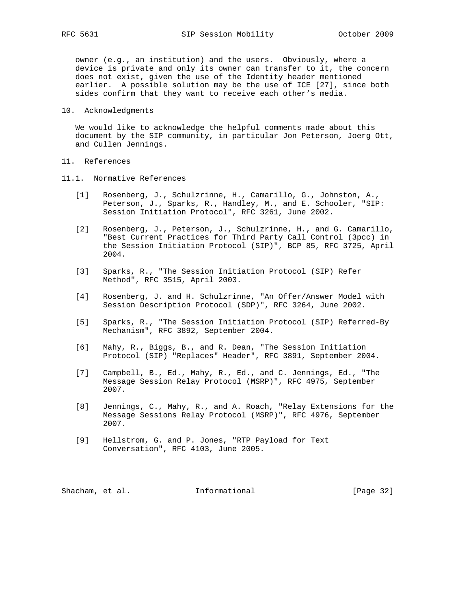owner (e.g., an institution) and the users. Obviously, where a device is private and only its owner can transfer to it, the concern does not exist, given the use of the Identity header mentioned earlier. A possible solution may be the use of ICE [27], since both sides confirm that they want to receive each other's media.

10. Acknowledgments

 We would like to acknowledge the helpful comments made about this document by the SIP community, in particular Jon Peterson, Joerg Ott, and Cullen Jennings.

- 11. References
- 11.1. Normative References
	- [1] Rosenberg, J., Schulzrinne, H., Camarillo, G., Johnston, A., Peterson, J., Sparks, R., Handley, M., and E. Schooler, "SIP: Session Initiation Protocol", RFC 3261, June 2002.
	- [2] Rosenberg, J., Peterson, J., Schulzrinne, H., and G. Camarillo, "Best Current Practices for Third Party Call Control (3pcc) in the Session Initiation Protocol (SIP)", BCP 85, RFC 3725, April 2004.
	- [3] Sparks, R., "The Session Initiation Protocol (SIP) Refer Method", RFC 3515, April 2003.
	- [4] Rosenberg, J. and H. Schulzrinne, "An Offer/Answer Model with Session Description Protocol (SDP)", RFC 3264, June 2002.
	- [5] Sparks, R., "The Session Initiation Protocol (SIP) Referred-By Mechanism", RFC 3892, September 2004.
	- [6] Mahy, R., Biggs, B., and R. Dean, "The Session Initiation Protocol (SIP) "Replaces" Header", RFC 3891, September 2004.
	- [7] Campbell, B., Ed., Mahy, R., Ed., and C. Jennings, Ed., "The Message Session Relay Protocol (MSRP)", RFC 4975, September 2007.
	- [8] Jennings, C., Mahy, R., and A. Roach, "Relay Extensions for the Message Sessions Relay Protocol (MSRP)", RFC 4976, September 2007.
	- [9] Hellstrom, G. and P. Jones, "RTP Payload for Text Conversation", RFC 4103, June 2005.

Shacham, et al. **Informational** [Page 32]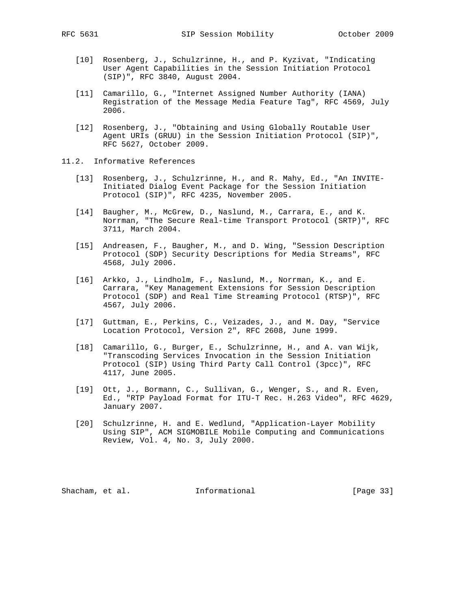- [10] Rosenberg, J., Schulzrinne, H., and P. Kyzivat, "Indicating User Agent Capabilities in the Session Initiation Protocol (SIP)", RFC 3840, August 2004.
- [11] Camarillo, G., "Internet Assigned Number Authority (IANA) Registration of the Message Media Feature Tag", RFC 4569, July 2006.
- [12] Rosenberg, J., "Obtaining and Using Globally Routable User Agent URIs (GRUU) in the Session Initiation Protocol (SIP)", RFC 5627, October 2009.
- 11.2. Informative References
	- [13] Rosenberg, J., Schulzrinne, H., and R. Mahy, Ed., "An INVITE- Initiated Dialog Event Package for the Session Initiation Protocol (SIP)", RFC 4235, November 2005.
	- [14] Baugher, M., McGrew, D., Naslund, M., Carrara, E., and K. Norrman, "The Secure Real-time Transport Protocol (SRTP)", RFC 3711, March 2004.
	- [15] Andreasen, F., Baugher, M., and D. Wing, "Session Description Protocol (SDP) Security Descriptions for Media Streams", RFC 4568, July 2006.
	- [16] Arkko, J., Lindholm, F., Naslund, M., Norrman, K., and E. Carrara, "Key Management Extensions for Session Description Protocol (SDP) and Real Time Streaming Protocol (RTSP)", RFC 4567, July 2006.
	- [17] Guttman, E., Perkins, C., Veizades, J., and M. Day, "Service Location Protocol, Version 2", RFC 2608, June 1999.
	- [18] Camarillo, G., Burger, E., Schulzrinne, H., and A. van Wijk, "Transcoding Services Invocation in the Session Initiation Protocol (SIP) Using Third Party Call Control (3pcc)", RFC 4117, June 2005.
	- [19] Ott, J., Bormann, C., Sullivan, G., Wenger, S., and R. Even, Ed., "RTP Payload Format for ITU-T Rec. H.263 Video", RFC 4629, January 2007.
	- [20] Schulzrinne, H. and E. Wedlund, "Application-Layer Mobility Using SIP", ACM SIGMOBILE Mobile Computing and Communications Review, Vol. 4, No. 3, July 2000.

Shacham, et al. 1nformational [Page 33]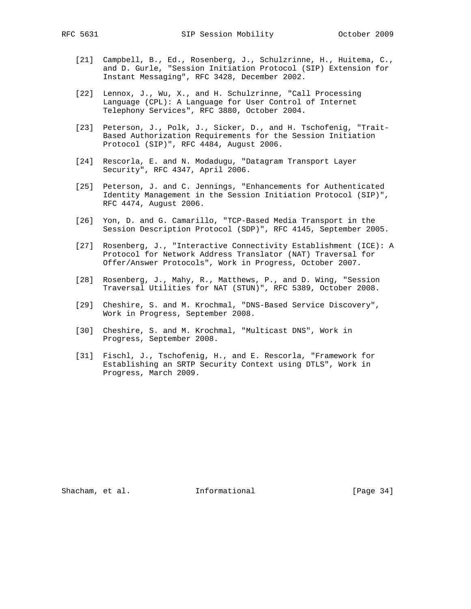- [21] Campbell, B., Ed., Rosenberg, J., Schulzrinne, H., Huitema, C., and D. Gurle, "Session Initiation Protocol (SIP) Extension for Instant Messaging", RFC 3428, December 2002.
- [22] Lennox, J., Wu, X., and H. Schulzrinne, "Call Processing Language (CPL): A Language for User Control of Internet Telephony Services", RFC 3880, October 2004.
- [23] Peterson, J., Polk, J., Sicker, D., and H. Tschofenig, "Trait- Based Authorization Requirements for the Session Initiation Protocol (SIP)", RFC 4484, August 2006.
- [24] Rescorla, E. and N. Modadugu, "Datagram Transport Layer Security", RFC 4347, April 2006.
- [25] Peterson, J. and C. Jennings, "Enhancements for Authenticated Identity Management in the Session Initiation Protocol (SIP)", RFC 4474, August 2006.
- [26] Yon, D. and G. Camarillo, "TCP-Based Media Transport in the Session Description Protocol (SDP)", RFC 4145, September 2005.
- [27] Rosenberg, J., "Interactive Connectivity Establishment (ICE): A Protocol for Network Address Translator (NAT) Traversal for Offer/Answer Protocols", Work in Progress, October 2007.
- [28] Rosenberg, J., Mahy, R., Matthews, P., and D. Wing, "Session Traversal Utilities for NAT (STUN)", RFC 5389, October 2008.
- [29] Cheshire, S. and M. Krochmal, "DNS-Based Service Discovery", Work in Progress, September 2008.
- [30] Cheshire, S. and M. Krochmal, "Multicast DNS", Work in Progress, September 2008.
- [31] Fischl, J., Tschofenig, H., and E. Rescorla, "Framework for Establishing an SRTP Security Context using DTLS", Work in Progress, March 2009.

Shacham, et al. 1nformational [Page 34]